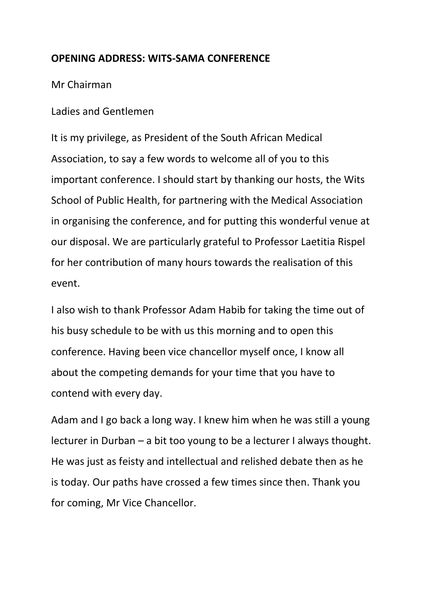## **OPENING ADDRESS: WITS-SAMA CONFERENCE**

Mr Chairman

Ladies and Gentlemen

It is my privilege, as President of the South African Medical Association, to say a few words to welcome all of you to this important conference. I should start by thanking our hosts, the Wits School of Public Health, for partnering with the Medical Association in organising the conference, and for putting this wonderful venue at our disposal. We are particularly grateful to Professor Laetitia Rispel for her contribution of many hours towards the realisation of this event.

I also wish to thank Professor Adam Habib for taking the time out of his busy schedule to be with us this morning and to open this conference. Having been vice chancellor myself once, I know all about the competing demands for your time that you have to contend with every day.

Adam and I go back a long way. I knew him when he was still a young lecturer in Durban – a bit too young to be a lecturer I always thought. He was just as feisty and intellectual and relished debate then as he is today. Our paths have crossed a few times since then. Thank you for coming, Mr Vice Chancellor.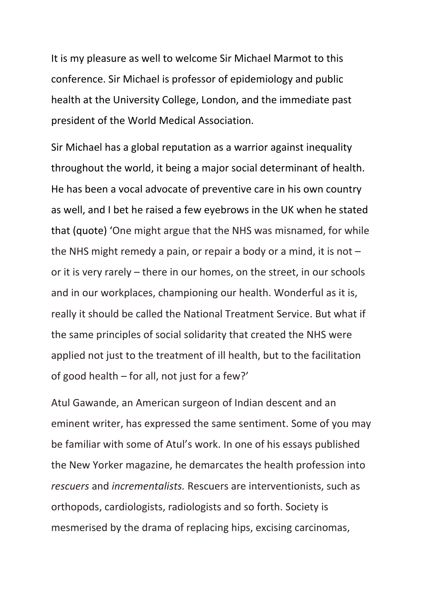It is my pleasure as well to welcome Sir Michael Marmot to this conference. Sir Michael is professor of epidemiology and public health at the University College, London, and the immediate past president of the World Medical Association.

Sir Michael has a global reputation as a warrior against inequality throughout the world, it being a major social determinant of health. He has been a vocal advocate of preventive care in his own country as well, and I bet he raised a few eyebrows in the UK when he stated that (quote) 'One might argue that the NHS was misnamed, for while the NHS might remedy a pain, or repair a body or a mind, it is not – or it is very rarely – there in our homes, on the street, in our schools and in our workplaces, championing our health. Wonderful as it is, really it should be called the National Treatment Service. But what if the same principles of social solidarity that created the NHS were applied not just to the treatment of ill health, but to the facilitation of good health – for all, not just for a few?'

Atul Gawande, an American surgeon of Indian descent and an eminent writer, has expressed the same sentiment. Some of you may be familiar with some of Atul's work. In one of his essays published the New Yorker magazine, he demarcates the health profession into *rescuers* and *incrementalists.* Rescuers are interventionists, such as orthopods, cardiologists, radiologists and so forth. Society is mesmerised by the drama of replacing hips, excising carcinomas,